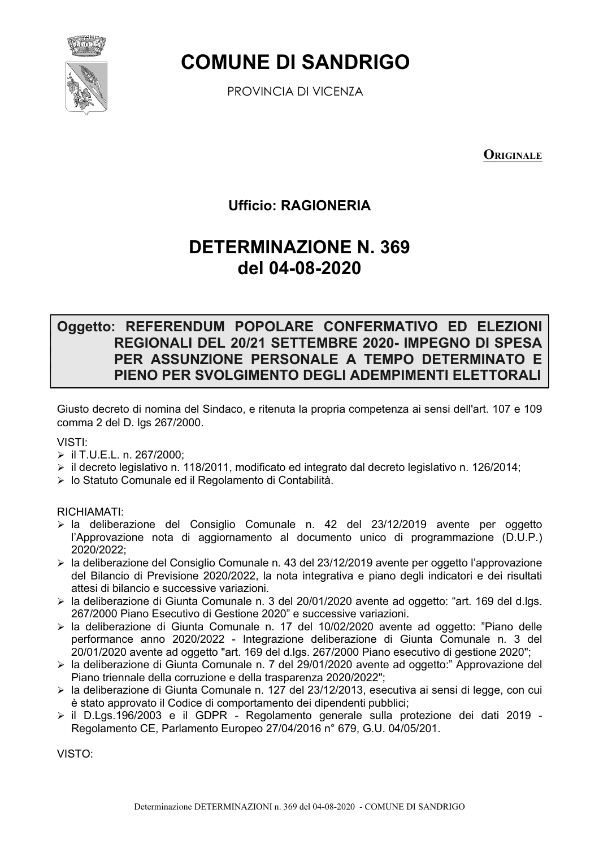

# **COMUNE DI SANDRIGO**

PROVINCIA DI VICENZA

**ORIGINALE** 

## **Ufficio: RAGIONERIA**

# **DETERMINAZIONE N. 369** del 04-08-2020

### Oggetto: REFERENDUM POPOLARE CONFERMATIVO ED ELEZIONI REGIONALI DEL 20/21 SETTEMBRE 2020- IMPEGNO DI SPESA PER ASSUNZIONE PERSONALE A TEMPO DETERMINATO E PIENO PER SVOLGIMENTO DEGLI ADEMPIMENTI ELETTORALI

Giusto decreto di nomina del Sindaco, e ritenuta la propria competenza ai sensi dell'art. 107 e 109 comma 2 del D. lgs 267/2000.

#### VISTI:

- $\triangleright$  il T.U.E.L. n. 267/2000:
- > il decreto legislativo n. 118/2011, modificato ed integrato dal decreto legislativo n. 126/2014;
- > lo Statuto Comunale ed il Regolamento di Contabilità.

#### RICHIAMATI:

- > la deliberazione del Consiglio Comunale n. 42 del 23/12/2019 avente per oggetto l'Approvazione nota di aggiornamento al documento unico di programmazione (D.U.P.) 2020/2022;
- > la deliberazione del Consiglio Comunale n. 43 del 23/12/2019 avente per oggetto l'approvazione del Bilancio di Previsione 2020/2022, la nota integrativa e piano degli indicatori e dei risultati attesi di bilancio e successive variazioni.
- > la deliberazione di Giunta Comunale n. 3 del 20/01/2020 avente ad oggetto: "art. 169 del d.lgs. 267/2000 Piano Esecutivo di Gestione 2020" e successive variazioni.
- > la deliberazione di Giunta Comunale n. 17 del 10/02/2020 avente ad oggetto: "Piano delle performance anno 2020/2022 - Integrazione deliberazione di Giunta Comunale n. 3 del 20/01/2020 avente ad oggetto "art. 169 del d.lgs. 267/2000 Piano esecutivo di gestione 2020";
- > la deliberazione di Giunta Comunale n. 7 del 29/01/2020 avente ad oggetto:" Approvazione del Piano triennale della corruzione e della trasparenza 2020/2022";
- > la deliberazione di Giunta Comunale n. 127 del 23/12/2013, esecutiva ai sensi di legge, con cui è stato approvato il Codice di comportamento dei dipendenti pubblici;
- > il D.Lgs.196/2003 e il GDPR Regolamento generale sulla protezione dei dati 2019 -Regolamento CE, Parlamento Europeo 27/04/2016 n° 679, G.U. 04/05/201.

VISTO: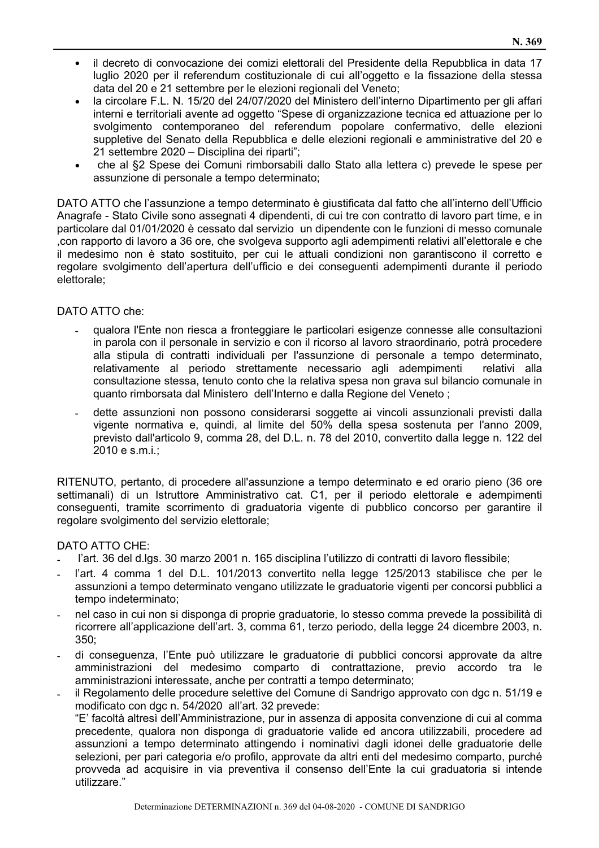- il decreto di convocazione dei comizi elettorali del Presidente della Repubblica in data 17  $\bullet$ luglio 2020 per il referendum costituzionale di cui all'oggetto e la fissazione della stessa data del 20 e 21 settembre per le elezioni regionali del Veneto:
- la circolare F.L. N. 15/20 del 24/07/2020 del Ministero dell'interno Dipartimento per gli affari interni e territoriali avente ad oggetto "Spese di organizzazione tecnica ed attuazione per lo svolgimento contemporaneo del referendum popolare confermativo, delle elezioni suppletive del Senato della Repubblica e delle elezioni regionali e amministrative del 20 e 21 settembre 2020 – Disciplina dei riparti":
- che al §2 Spese dei Comuni rimborsabili dallo Stato alla lettera c) prevede le spese per  $\bullet$ assunzione di personale a tempo determinato:

DATO ATTO che l'assunzione a tempo determinato è giustificata dal fatto che all'interno dell'Ufficio Anagrafe - Stato Civile sono assegnati 4 dipendenti, di cui tre con contratto di lavoro part time, e in particolare dal 01/01/2020 è cessato dal servizio un dipendente con le funzioni di messo comunale con rapporto di lavoro a 36 ore, che svolgeva supporto agli adempimenti relativi all'elettorale e che, il medesimo non è stato sostituito, per cui le attuali condizioni non garantiscono il corretto e regolare svolgimento dell'apertura dell'ufficio e dei conseguenti adempimenti durante il periodo elettorale:

#### DATO ATTO che:

- gualora l'Ente non riesca a fronteggiare le particolari esigenze connesse alle consultazioni in parola con il personale in servizio e con il ricorso al lavoro straordinario, potrà procedere alla stipula di contratti individuali per l'assunzione di personale a tempo determinato, relativamente al periodo strettamente necessario agli adempimenti relativi alla consultazione stessa, tenuto conto che la relativa spesa non grava sul bilancio comunale in quanto rimborsata dal Ministero dell'Interno e dalla Regione del Veneto :
- dette assunzioni non possono considerarsi soggette ai vincoli assunzionali previsti dalla vigente normativa e, quindi, al limite del 50% della spesa sostenuta per l'anno 2009, previsto dall'articolo 9, comma 28, del D.L. n. 78 del 2010, convertito dalla legge n. 122 del 2010 e s.m.i.;

RITENUTO, pertanto, di procedere all'assunzione a tempo determinato e ed orario pieno (36 ore settimanali) di un Istruttore Amministrativo cat. C1, per il periodo elettorale e adempimenti conseguenti, tramite scorrimento di graduatoria vigente di pubblico concorso per garantire il regolare svolgimento del servizio elettorale;

#### DATO ATTO CHE:

- l'art. 36 del d.lgs. 30 marzo 2001 n. 165 disciplina l'utilizzo di contratti di lavoro flessibile;
- l'art. 4 comma 1 del D.L. 101/2013 convertito nella legge 125/2013 stabilisce che per le assunzioni a tempo determinato vengano utilizzate le graduatorie vigenti per concorsi pubblici a tempo indeterminato:
- nel caso in cui non si disponga di proprie graduatorie, lo stesso comma prevede la possibilità di ricorrere all'applicazione dell'art. 3. comma 61, terzo periodo, della legge 24 dicembre 2003, n.  $350:$
- di conseguenza, l'Ente può utilizzare le graduatorie di pubblici concorsi approvate da altre amministrazioni del medesimo comparto di contrattazione, previo accordo tra le amministrazioni interessate, anche per contratti a tempo determinato;
- il Regolamento delle procedure selettive del Comune di Sandrigo approvato con dgc n. 51/19 e modificato con dgc n. 54/2020 all'art. 32 prevede:

"E' facoltà altresì dell'Amministrazione, pur in assenza di apposita convenzione di cui al comma precedente, qualora non disponga di graduatorie valide ed ancora utilizzabili, procedere ad assunzioni a tempo determinato attingendo i nominativi dagli idonei delle graduatorie delle selezioni, per pari categoria e/o profilo, approvate da altri enti del medesimo comparto, purché provveda ad acquisire in via preventiva il consenso dell'Ente la cui graduatoria si intende utilizzare."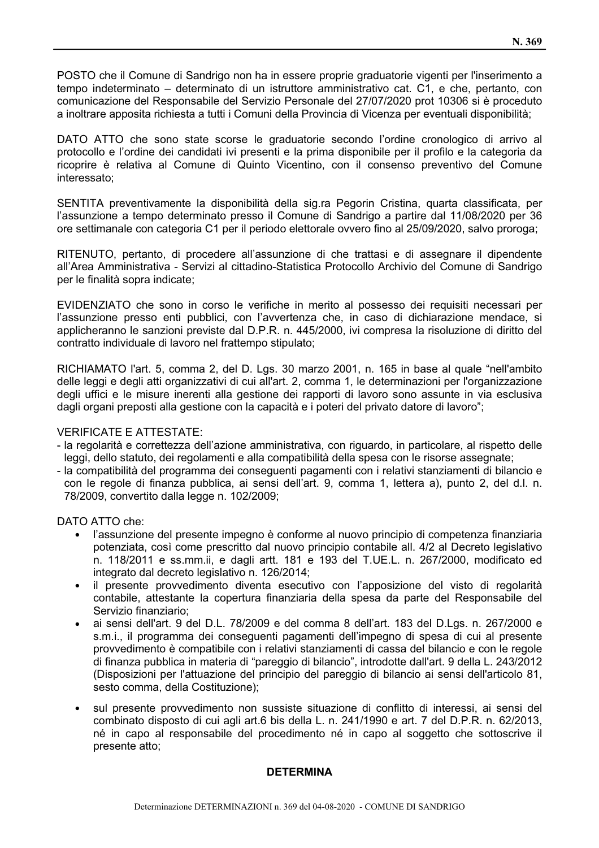POSTO che il Comune di Sandrigo non ha in essere proprie graduatorie vigenti per l'inserimento a tempo indeterminato – determinato di un istruttore amministrativo cat. C1, e che, pertanto, con comunicazione del Responsabile del Servizio Personale del 27/07/2020 prot 10306 si è proceduto a inoltrare apposita richiesta a tutti i Comuni della Provincia di Vicenza per eventuali disponibilità;

DATO ATTO che sono state scorse le graduatorie secondo l'ordine cronologico di arrivo al protocollo e l'ordine dei candidati ivi presenti e la prima disponibile per il profilo e la categoria da ricoprire è relativa al Comune di Quinto Vicentino, con il consenso preventivo del Comune interessato:

SENTITA preventivamente la disponibilità della sig.ra Pegorin Cristina, quarta classificata, per l'assunzione a tempo determinato presso il Comune di Sandrigo a partire dal 11/08/2020 per 36 ore settimanale con categoria C1 per il periodo elettorale ovvero fino al 25/09/2020, salvo proroga:

RITENUTO, pertanto, di procedere all'assunzione di che trattasi e di assegnare il dipendente all'Area Amministrativa - Servizi al cittadino-Statistica Protocollo Archivio del Comune di Sandrigo per le finalità sopra indicate:

EVIDENZIATO che sono in corso le verifiche in merito al possesso dei requisiti necessari per l'assunzione presso enti pubblici, con l'avvertenza che, in caso di dichiarazione mendace, si applicheranno le sanzioni previste dal D.P.R. n. 445/2000, ivi compresa la risoluzione di diritto del contratto individuale di lavoro nel frattempo stipulato;

RICHIAMATO l'art. 5, comma 2, del D. Lgs. 30 marzo 2001, n. 165 in base al quale "nell'ambito" delle leggi e degli atti organizzativi di cui all'art. 2, comma 1, le determinazioni per l'organizzazione degli uffici e le misure inerenti alla gestione dei rapporti di lavoro sono assunte in via esclusiva dagli organi preposti alla gestione con la capacità e i poteri del privato datore di lavoro";

#### **VERIFICATE E ATTESTATE:**

- la regolarità e correttezza dell'azione amministrativa, con riguardo, in particolare, al rispetto delle leggi, dello statuto, dei regolamenti e alla compatibilità della spesa con le risorse assegnate:
- la compatibilità del programma dei conseguenti pagamenti con i relativi stanziamenti di bilancio e con le regole di finanza pubblica, ai sensi dell'art. 9, comma 1, lettera a), punto 2, del d.l. n. 78/2009, convertito dalla legge n. 102/2009;

DATO ATTO che:

- l'assunzione del presente impegno è conforme al nuovo principio di competenza finanziaria potenziata, così come prescritto dal nuovo principio contabile all. 4/2 al Decreto legislativo n. 118/2011 e ss.mm.ii, e dagli artt. 181 e 193 del T.UE.L. n. 267/2000, modificato ed integrato dal decreto legislativo n. 126/2014:
- il presente provvedimento diventa esecutivo con l'apposizione del visto di regolarità contabile, attestante la copertura finanziaria della spesa da parte del Responsabile del Servizio finanziario:
- ai sensi dell'art. 9 del D.L. 78/2009 e del comma 8 dell'art. 183 del D.Lgs. n. 267/2000 e  $\bullet$ s.m.i., il programma dei consequenti pagamenti dell'impegno di spesa di cui al presente provvedimento è compatibile con i relativi stanziamenti di cassa del bilancio e con le regole di finanza pubblica in materia di "pareggio di bilancio", introdotte dall'art. 9 della L. 243/2012 (Disposizioni per l'attuazione del principio del pareggio di bilancio ai sensi dell'articolo 81, sesto comma, della Costituzione):
- sul presente provvedimento non sussiste situazione di conflitto di interessi, ai sensi del  $\bullet$ combinato disposto di cui agli art.6 bis della L. n. 241/1990 e art. 7 del D.P.R. n. 62/2013, né in capo al responsabile del procedimento né in capo al soggetto che sottoscrive il presente atto:

#### **DETERMINA**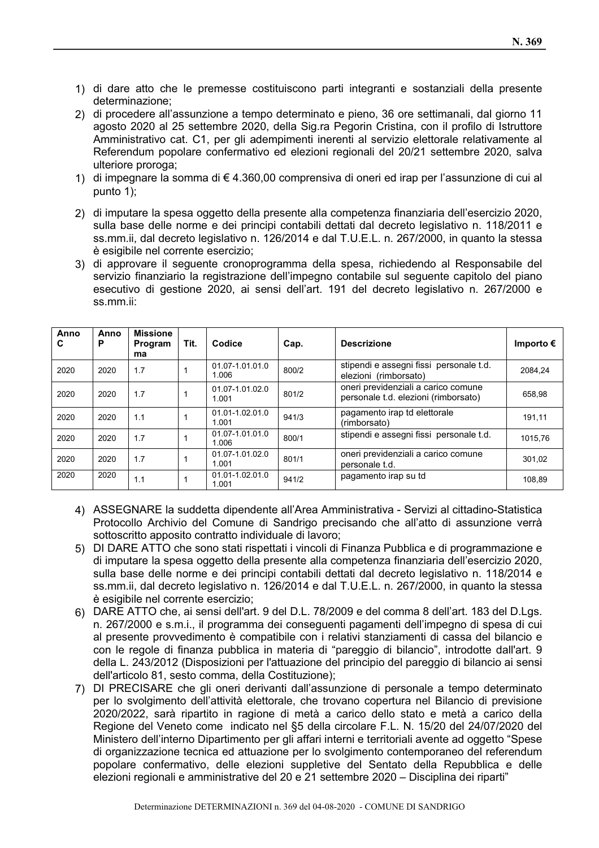- 1) di dare atto che le premesse costituiscono parti integranti e sostanziali della presente determinazione:
- 2) di procedere all'assunzione a tempo determinato e pieno, 36 ore settimanali, dal giorno 11 agosto 2020 al 25 settembre 2020, della Sig.ra Pegorin Cristina, con il profilo di Istruttore Amministrativo cat. C1, per gli adempimenti inerenti al servizio elettorale relativamente al Referendum popolare confermativo ed elezioni regionali del 20/21 settembre 2020, salva ulteriore proroga;
- 1) di impegnare la somma di € 4.360.00 comprensiva di oneri ed irap per l'assunzione di cui al punto 1):
- 2) di imputare la spesa oggetto della presente alla competenza finanziaria dell'esercizio 2020, sulla base delle norme e dei principi contabili dettati dal decreto legislativo n. 118/2011 e ss.mm.ii, dal decreto legislativo n. 126/2014 e dal T.U.E.L. n. 267/2000, in quanto la stessa è esigibile nel corrente esercizio:
- 3) di approvare il seguente cronoprogramma della spesa, richiedendo al Responsabile del servizio finanziario la registrazione dell'impegno contabile sul seguente capitolo del piano esecutivo di gestione 2020, ai sensi dell'art. 191 del decreto legislativo n. 267/2000 e ss.mm.ii:

| Anno<br>С | Anno<br>Р | <b>Missione</b><br>Program<br>ma | Tit. | Codice                   | Cap.  | <b>Descrizione</b>                                                          | Importo $\epsilon$ |
|-----------|-----------|----------------------------------|------|--------------------------|-------|-----------------------------------------------------------------------------|--------------------|
| 2020      | 2020      | 1.7                              |      | 01.07-1.01.01.0<br>1.006 | 800/2 | stipendi e assegni fissi personale t.d.<br>elezioni (rimborsato)            | 2084.24            |
| 2020      | 2020      | 1.7                              |      | 01.07-1.01.02.0<br>1.001 | 801/2 | oneri previdenziali a carico comune<br>personale t.d. elezioni (rimborsato) | 658.98             |
| 2020      | 2020      | 1.1                              |      | 01.01-1.02.01.0<br>1.001 | 941/3 | pagamento irap td elettorale<br>(rimborsato)                                | 191.11             |
| 2020      | 2020      | 1.7                              |      | 01.07-1.01.01.0<br>1.006 | 800/1 | stipendi e assegni fissi personale t.d.                                     | 1015.76            |
| 2020      | 2020      | 1.7                              |      | 01.07-1.01.02.0<br>1.001 | 801/1 | oneri previdenziali a carico comune<br>personale t.d.                       | 301.02             |
| 2020      | 2020      | 1.1                              |      | 01.01-1.02.01.0<br>1.001 | 941/2 | pagamento irap su td                                                        | 108.89             |

- 4) ASSEGNARE la suddetta dipendente all'Area Amministrativa Servizi al cittadino-Statistica Protocollo Archivio del Comune di Sandrigo precisando che all'atto di assunzione verrà sottoscritto apposito contratto individuale di lavoro;
- 5) DI DARE ATTO che sono stati rispettati i vincoli di Finanza Pubblica e di programmazione e di imputare la spesa oggetto della presente alla competenza finanziaria dell'esercizio 2020, sulla base delle norme e dei principi contabili dettati dal decreto legislativo n. 118/2014 e ss.mm.ii, dal decreto legislativo n. 126/2014 e dal T.U.E.L. n. 267/2000, in quanto la stessa è esigibile nel corrente esercizio:
- 6) DARE ATTO che, ai sensi dell'art, 9 del D.L. 78/2009 e del comma 8 dell'art, 183 del D.Lgs. n. 267/2000 e s.m.i., il programma dei conseguenti pagamenti dell'impegno di spesa di cui al presente provvedimento è compatibile con i relativi stanziamenti di cassa del bilancio e con le regole di finanza pubblica in materia di "pareggio di bilancio", introdotte dall'art. 9 della L. 243/2012 (Disposizioni per l'attuazione del principio del pareggio di bilancio ai sensi dell'articolo 81, sesto comma, della Costituzione);
- 7) DI PRECISARE che gli oneri derivanti dall'assunzione di personale a tempo determinato per lo svolgimento dell'attività elettorale, che trovano copertura nel Bilancio di previsione 2020/2022, sarà ripartito in ragione di metà a carico dello stato e metà a carico della Regione del Veneto come indicato nel §5 della circolare F.L. N. 15/20 del 24/07/2020 del Ministero dell'interno Dipartimento per gli affari interni e territoriali avente ad oggetto "Spese di organizzazione tecnica ed attuazione per lo svolgimento contemporaneo del referendum popolare confermativo, delle elezioni suppletive del Sentato della Repubblica e delle elezioni regionali e amministrative del 20 e 21 settembre 2020 – Disciplina dei riparti"